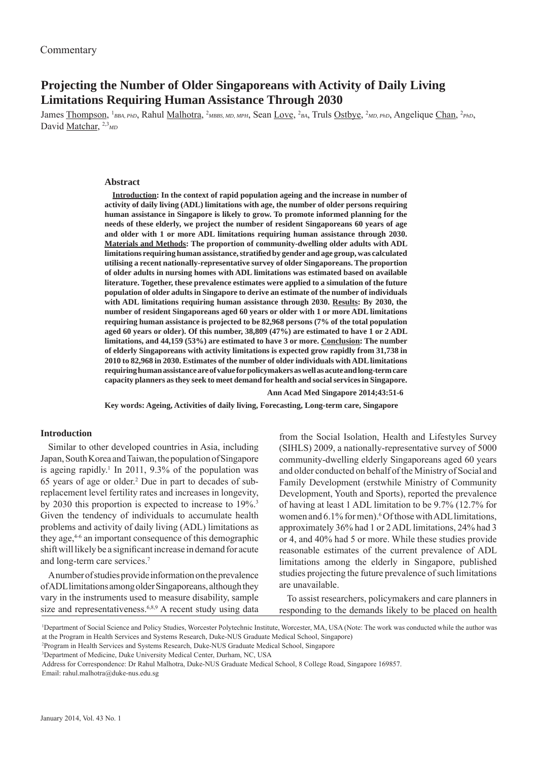# **Projecting the Number of Older Singaporeans with Activity of Daily Living Limitations Requiring Human Assistance Through 2030**

James <u>Thompson</u>, <sup>1</sup>BBA, PhD, Rahul <u>Malhotra</u>, <sup>2</sup>MBBS, MD, MPH, Sean <u>Love</u>, <sup>2</sup>BA, Truls Ostbye, <sup>2</sup>MD, PhD, Angelique Chan, <sup>2</sup>PhD, David Matchar, <sup>2,3</sup><sub>MD</sub>

#### **Abstract**

**Introduction: In the context of rapid population ageing and the increase in number of activity of daily living (ADL) limitations with age, the number of older persons requiring human assistance in Singapore is likely to grow. To promote informed planning for the needs of these elderly, we project the number of resident Singaporeans 60 years of age and older with 1 or more ADL limitations requiring human assistance through 2030. Materials and Methods: The proportion of community-dwelling older adults with ADL limitations requiring human assistance, stratifi ed by gender and age group, was calculated utilising a recent nationally-representative survey of older Singaporeans. The proportion of older adults in nursing homes with ADL limitations was estimated based on available literature. Together, these prevalence estimates were applied to a simulation of the future population of older adults in Singapore to derive an estimate of the number of individuals with ADL limitations requiring human assistance through 2030. Results: By 2030, the number of resident Singaporeans aged 60 years or older with 1 or more ADL limitations requiring human assistance is projected to be 82,968 persons (7% of the total population aged 60 years or older). Of this number, 38,809 (47%) are estimated to have 1 or 2 ADL limitations, and 44,159 (53%) are estimated to have 3 or more. Conclusion: The number of elderly Singaporeans with activity limitations is expected grow rapidly from 31,738 in 2010 to 82,968 in 2030. Estimates of the number of older individuals with ADL limitations requiring human assistance are of value for policymakers as well as acute and long-term care capacity planners as they seek to meet demand for health and social services in Singapore.** 

 **Ann Acad Med Singapore 2014;43:51-6**

**Key words: Ageing, Activities of daily living, Forecasting, Long-term care, Singapore**

#### **Introduction**

Similar to other developed countries in Asia, including Japan, South Korea and Taiwan, the population of Singapore is ageing rapidly.<sup>1</sup> In 2011, 9.3% of the population was 65 years of age or older.2 Due in part to decades of subreplacement level fertility rates and increases in longevity, by 2030 this proportion is expected to increase to 19%.3 Given the tendency of individuals to accumulate health problems and activity of daily living (ADL) limitations as they age,4-6 an important consequence of this demographic shift will likely be a significant increase in demand for acute and long-term care services.7

A number of studies provide information on the prevalence of ADL limitations among older Singaporeans, although they vary in the instruments used to measure disability, sample size and representativeness.<sup>6,8,9</sup> A recent study using data

from the Social Isolation, Health and Lifestyles Survey (SIHLS) 2009, a nationally-representative survey of 5000 community-dwelling elderly Singaporeans aged 60 years and older conducted on behalf of the Ministry of Social and Family Development (erstwhile Ministry of Community Development, Youth and Sports), reported the prevalence of having at least 1 ADL limitation to be 9.7% (12.7% for women and 6.1% for men).<sup>6</sup> Of those with ADL limitations, approximately 36% had 1 or 2 ADL limitations, 24% had 3 or 4, and 40% had 5 or more. While these studies provide reasonable estimates of the current prevalence of ADL limitations among the elderly in Singapore, published studies projecting the future prevalence of such limitations are unavailable.

To assist researchers, policymakers and care planners in responding to the demands likely to be placed on health

<sup>1</sup> Department of Social Science and Policy Studies, Worcester Polytechnic Institute, Worcester, MA, USA (Note: The work was conducted while the author was at the Program in Health Services and Systems Research, Duke-NUS Graduate Medical School, Singapore)

<sup>2</sup> Program in Health Services and Systems Research, Duke-NUS Graduate Medical School, Singapore

<sup>3</sup> Department of Medicine, Duke University Medical Center, Durham, NC, USA

Address for Correspondence: Dr Rahul Malhotra, Duke-NUS Graduate Medical School, 8 College Road, Singapore 169857. Email: rahul.malhotra@duke-nus.edu.sg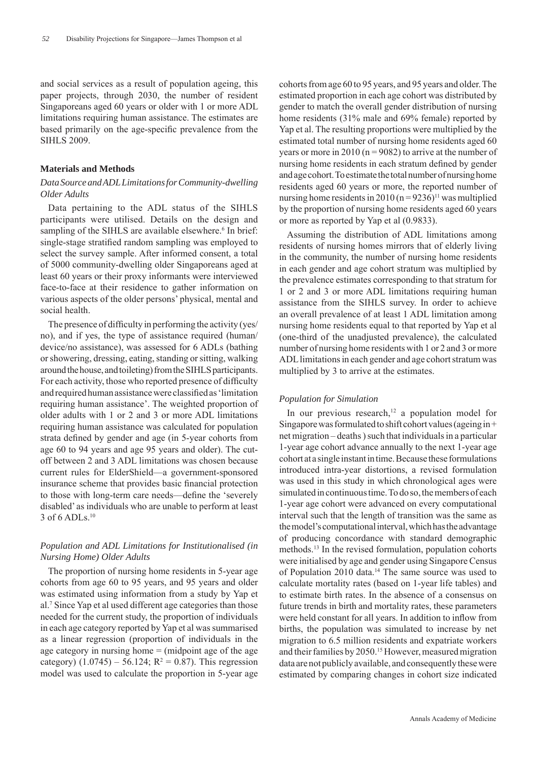and social services as a result of population ageing, this paper projects, through 2030, the number of resident Singaporeans aged 60 years or older with 1 or more ADL limitations requiring human assistance. The estimates are based primarily on the age-specific prevalence from the SIHLS 2009.

#### **Materials and Methods**

## *Data Source and ADL Limitations for Community-dwelling Older Adults*

Data pertaining to the ADL status of the SIHLS participants were utilised. Details on the design and sampling of the SIHLS are available elsewhere.<sup>6</sup> In brief: single-stage stratified random sampling was employed to select the survey sample. After informed consent, a total of 5000 community-dwelling older Singaporeans aged at least 60 years or their proxy informants were interviewed face-to-face at their residence to gather information on various aspects of the older persons' physical, mental and social health.

The presence of difficulty in performing the activity (yes/ no), and if yes, the type of assistance required (human/ device/no assistance), was assessed for 6 ADLs (bathing or showering, dressing, eating, standing or sitting, walking around the house, and toileting) from the SIHLS participants. For each activity, those who reported presence of difficulty and required human assistance were classified as 'limitation requiring human assistance'. The weighted proportion of older adults with 1 or 2 and 3 or more ADL limitations requiring human assistance was calculated for population strata defined by gender and age (in 5-year cohorts from age 60 to 94 years and age 95 years and older). The cutoff between 2 and 3 ADL limitations was chosen because current rules for ElderShield—a government-sponsored insurance scheme that provides basic financial protection to those with long-term care needs—define the 'severely disabled' as individuals who are unable to perform at least 3 of 6 ADLs.10

## *Population and ADL Limitations for Institutionalised (in Nursing Home) Older Adults*

The proportion of nursing home residents in 5-year age cohorts from age 60 to 95 years, and 95 years and older was estimated using information from a study by Yap et al.7 Since Yap et al used different age categories than those needed for the current study, the proportion of individuals in each age category reported by Yap et al was summarised as a linear regression (proportion of individuals in the age category in nursing home  $=$  (midpoint age of the age category)  $(1.0745) - 56.124$ ;  $R^2 = 0.87$ ). This regression model was used to calculate the proportion in 5-year age

cohorts from age 60 to 95 years, and 95 years and older. The estimated proportion in each age cohort was distributed by gender to match the overall gender distribution of nursing home residents (31% male and 69% female) reported by Yap et al. The resulting proportions were multiplied by the estimated total number of nursing home residents aged 60 years or more in 2010 ( $n = 9082$ ) to arrive at the number of nursing home residents in each stratum defined by gender and age cohort. To estimate the total number of nursing home residents aged 60 years or more, the reported number of nursing home residents in  $2010 (n = 9236)^{11}$  was multiplied by the proportion of nursing home residents aged 60 years or more as reported by Yap et al (0.9833).

Assuming the distribution of ADL limitations among residents of nursing homes mirrors that of elderly living in the community, the number of nursing home residents in each gender and age cohort stratum was multiplied by the prevalence estimates corresponding to that stratum for 1 or 2 and 3 or more ADL limitations requiring human assistance from the SIHLS survey. In order to achieve an overall prevalence of at least 1 ADL limitation among nursing home residents equal to that reported by Yap et al (one-third of the unadjusted prevalence), the calculated number of nursing home residents with 1 or 2 and 3 or more ADL limitations in each gender and age cohort stratum was multiplied by 3 to arrive at the estimates.

#### *Population for Simulation*

In our previous research,<sup>12</sup> a population model for Singapore was formulated to shift cohort values (ageing in + net migration – deaths ) such that individuals in a particular 1-year age cohort advance annually to the next 1-year age cohort at a single instant in time. Because these formulations introduced intra-year distortions, a revised formulation was used in this study in which chronological ages were simulated in continuous time. To do so, the members of each 1-year age cohort were advanced on every computational interval such that the length of transition was the same as the model's computational interval, which has the advantage of producing concordance with standard demographic methods.13 In the revised formulation, population cohorts were initialised by age and gender using Singapore Census of Population 2010 data.<sup>14</sup> The same source was used to calculate mortality rates (based on 1-year life tables) and to estimate birth rates. In the absence of a consensus on future trends in birth and mortality rates, these parameters were held constant for all years. In addition to inflow from births, the population was simulated to increase by net migration to 6.5 million residents and expatriate workers and their families by 2050.<sup>15</sup> However, measured migration data are not publicly available, and consequently these were estimated by comparing changes in cohort size indicated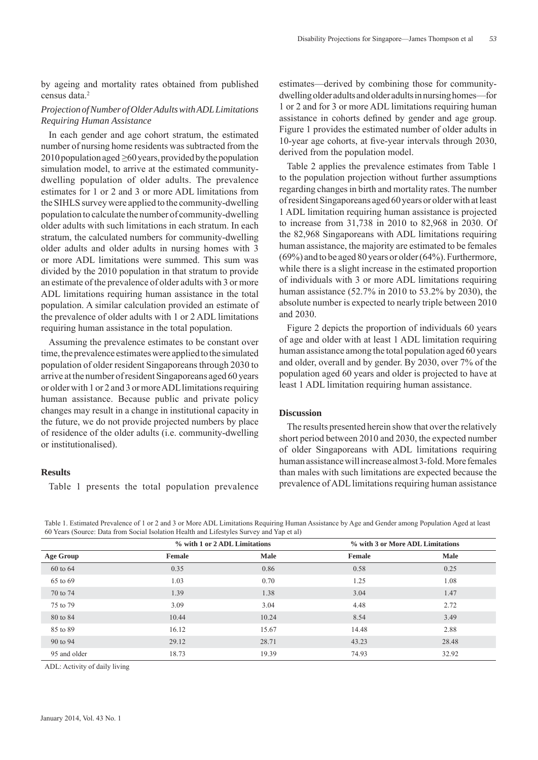by ageing and mortality rates obtained from published census data.<sup>2</sup>

#### *Projection of Number of Older Adults with ADL Limitations Requiring Human Assistance*

In each gender and age cohort stratum, the estimated number of nursing home residents was subtracted from the  $2010$  population aged  $\geq 60$  years, provided by the population simulation model, to arrive at the estimated communitydwelling population of older adults. The prevalence estimates for 1 or 2 and 3 or more ADL limitations from the SIHLS survey were applied to the community-dwelling population to calculate the number of community-dwelling older adults with such limitations in each stratum. In each stratum, the calculated numbers for community-dwelling older adults and older adults in nursing homes with 3 or more ADL limitations were summed. This sum was divided by the 2010 population in that stratum to provide an estimate of the prevalence of older adults with 3 or more ADL limitations requiring human assistance in the total population. A similar calculation provided an estimate of the prevalence of older adults with 1 or 2 ADL limitations requiring human assistance in the total population.

Assuming the prevalence estimates to be constant over time, the prevalence estimates were applied to the simulated population of older resident Singaporeans through 2030 to arrive at the number of resident Singaporeans aged 60 years or older with 1 or 2 and 3 or more ADL limitations requiring human assistance. Because public and private policy changes may result in a change in institutional capacity in the future, we do not provide projected numbers by place of residence of the older adults (i.e. community-dwelling or institutionalised).

#### **Results**

Table 1 presents the total population prevalence

estimates—derived by combining those for communitydwelling older adults and older adults in nursing homes—for 1 or 2 and for 3 or more ADL limitations requiring human assistance in cohorts defined by gender and age group. Figure 1 provides the estimated number of older adults in 10-year age cohorts, at five-year intervals through 2030, derived from the population model.

Table 2 applies the prevalence estimates from Table 1 to the population projection without further assumptions regarding changes in birth and mortality rates. The number of resident Singaporeans aged 60 years or older with at least 1 ADL limitation requiring human assistance is projected to increase from 31,738 in 2010 to 82,968 in 2030. Of the 82,968 Singaporeans with ADL limitations requiring human assistance, the majority are estimated to be females (69%) and to be aged 80 years or older (64%). Furthermore, while there is a slight increase in the estimated proportion of individuals with 3 or more ADL limitations requiring human assistance (52.7% in 2010 to 53.2% by 2030), the absolute number is expected to nearly triple between 2010 and 2030.

Figure 2 depicts the proportion of individuals 60 years of age and older with at least 1 ADL limitation requiring human assistance among the total population aged 60 years and older, overall and by gender. By 2030, over 7% of the population aged 60 years and older is projected to have at least 1 ADL limitation requiring human assistance.

### **Discussion**

The results presented herein show that over the relatively short period between 2010 and 2030, the expected number of older Singaporeans with ADL limitations requiring human assistance will increase almost 3-fold. More females than males with such limitations are expected because the prevalence of ADL limitations requiring human assistance

Table 1. Estimated Prevalence of 1 or 2 and 3 or More ADL Limitations Requiring Human Assistance by Age and Gender among Population Aged at least 60 Years (Source: Data from Social Isolation Health and Lifestyles Survey and Yap et al)

|                  | % with 1 or 2 ADL Limitations |             | % with 3 or More ADL Limitations |             |
|------------------|-------------------------------|-------------|----------------------------------|-------------|
| <b>Age Group</b> | Female                        | <b>Male</b> | <b>Female</b>                    | <b>Male</b> |
| 60 to 64         | 0.35                          | 0.86        | 0.58                             | 0.25        |
| 65 to 69         | 1.03                          | 0.70        | 1.25                             | 1.08        |
| 70 to 74         | 1.39                          | 1.38        | 3.04                             | 1.47        |
| 75 to 79         | 3.09                          | 3.04        | 4.48                             | 2.72        |
| 80 to 84         | 10.44                         | 10.24       | 8.54                             | 3.49        |
| 85 to 89         | 16.12                         | 15.67       | 14.48                            | 2.88        |
| 90 to 94         | 29.12                         | 28.71       | 43.23                            | 28.48       |
| 95 and older     | 18.73                         | 19.39       | 74.93                            | 32.92       |

ADL: Activity of daily living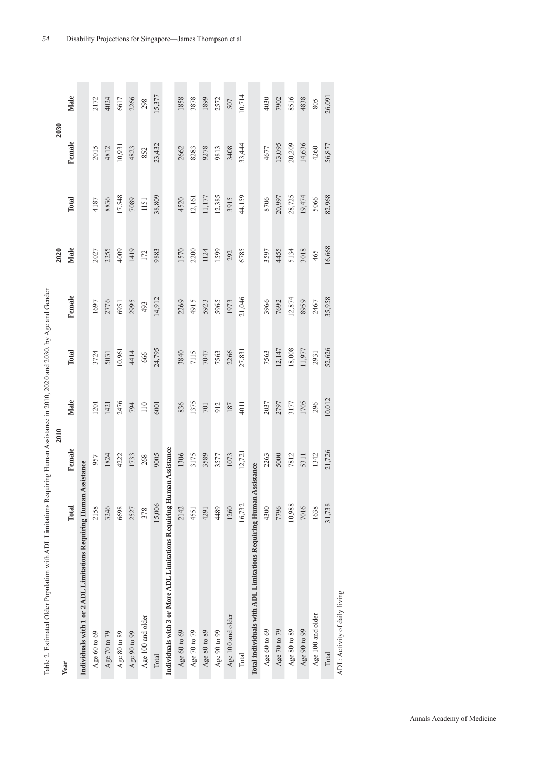| I            |  |
|--------------|--|
|              |  |
|              |  |
|              |  |
|              |  |
|              |  |
|              |  |
|              |  |
|              |  |
|              |  |
|              |  |
|              |  |
|              |  |
|              |  |
|              |  |
|              |  |
|              |  |
| ׇ֚֓֡         |  |
|              |  |
|              |  |
|              |  |
|              |  |
|              |  |
|              |  |
|              |  |
|              |  |
|              |  |
| $\zeta$<br>I |  |
|              |  |
|              |  |
|              |  |
|              |  |
|              |  |
| I            |  |
|              |  |
|              |  |
|              |  |
|              |  |
|              |  |
|              |  |
|              |  |
|              |  |
|              |  |
|              |  |
|              |  |
|              |  |
|              |  |
|              |  |
|              |  |
|              |  |
|              |  |
|              |  |
|              |  |
|              |  |
|              |  |
|              |  |
|              |  |
|              |  |
|              |  |
|              |  |
|              |  |
|              |  |
|              |  |
| j            |  |
|              |  |
|              |  |
|              |  |
|              |  |
|              |  |
|              |  |
|              |  |
|              |  |
| ֖֖֖֖֚֚֚֚֚֚֬  |  |
|              |  |
|              |  |
|              |  |
|              |  |
|              |  |
| l            |  |
|              |  |
| ļ            |  |
|              |  |
|              |  |
|              |  |
|              |  |
|              |  |
|              |  |
|              |  |
|              |  |
|              |  |
|              |  |
|              |  |
|              |  |
|              |  |
|              |  |
|              |  |
|              |  |
| l            |  |
|              |  |
|              |  |
|              |  |
|              |  |
|              |  |
| i            |  |
|              |  |
|              |  |
|              |  |
|              |  |
|              |  |
|              |  |
|              |  |
|              |  |
|              |  |
| I            |  |
|              |  |
|              |  |
|              |  |
|              |  |
|              |  |
| ć            |  |
| Ē            |  |

| Year                                                               |        | 2010       |        |        |        | 2020   |        | 2030   |        |
|--------------------------------------------------------------------|--------|------------|--------|--------|--------|--------|--------|--------|--------|
|                                                                    | Total  | Female     | Male   | Total  | Female | Male   | Total  | Female | Male   |
| Individuals with 1 or 2 ADL Limitations Requiring Human Assistance |        |            |        |        |        |        |        |        |        |
| Age 60 to 69                                                       | 2158   | 957        | 1201   | 3724   | 1697   | 2027   | 4187   | 2015   | 2172   |
| Age 70 to 79                                                       | 3246   | 1824       | 1421   | 5031   | 2776   | 2255   | 8836   | 4812   | 4024   |
| Age $80$ to $89$                                                   | 6698   | 4222       | 2476   | 10,961 | 6951   | 4009   | 17,548 | 10,931 | 6617   |
| Age 90 to 99                                                       | 2527   | 1733       | 794    | 4414   | 2995   | 1419   | 7089   | 4823   | 2266   |
| Age 100 and older                                                  | 378    | 268        | 110    | 666    | 493    | 172    | 1151   | 852    | 298    |
| Total                                                              | 15,006 | 9005       | 6001   | 24,795 | 14,912 | 9883   | 38,809 | 23,432 | 15,377 |
| Individuals with 3 or More ADL Limitations Requiring Human         |        | Assistance |        |        |        |        |        |        |        |
| Age 60 to 69                                                       | 2142   | 1306       | 836    | 3840   | 2269   | 1570   | 4520   | 2662   | 1858   |
| Age 70 to 79                                                       | 4551   | 3175       | 1375   | 7115   | 4915   | 2200   | 12,161 | 8283   | 3878   |
| Age 80 to 89                                                       | 4291   | 3589       | 701    | 7047   | 5923   | 1124   | 11,177 | 9278   | 1899   |
| Age $90$ to $99$                                                   | 4489   | 3577       | 912    | 7563   | 5965   | 1599   | 12,385 | 9813   | 2572   |
| Age 100 and older                                                  | 1260   | 1073       | 187    | 2266   | 1973   | 292    | 3915   | 3408   | 507    |
| Total                                                              | 16,732 | 12,721     | 4011   | 27,831 | 21,046 | 6785   | 44,159 | 33,444 | 10,714 |
| Total individuals with ADL Limitations Requiring Human Assistance  |        |            |        |        |        |        |        |        |        |
| Age 60 to 69                                                       | 4300   | 2263       | 2037   | 7563   | 3966   | 3597   | 8706   | 4677   | 4030   |
| Age 70 to 79                                                       | 7796   | 5000       | 2797   | 12,147 | 7692   | 4455   | 20,997 | 13,095 | 7902   |
| Age $80$ to $89\,$                                                 | 10,988 | 7812       | 3177   | 18,008 | 12,874 | 5134   | 28,725 | 20,209 | 8516   |
| Age 90 to 99                                                       | 7016   | 5311       | 1705   | 11,977 | 8959   | 3018   | 19,474 | 14,636 | 4838   |
| Age 100 and older                                                  | 1638   | 1342       | 296    | 2931   | 2467   | 465    | 5066   | 4260   | 805    |
| Total                                                              | 31,738 | 21,726     | 10,012 | 52,626 | 35,958 | 16,668 | 82,968 | 56,877 | 26,091 |

*54* Disability Projections for Singapore—James Thompson et al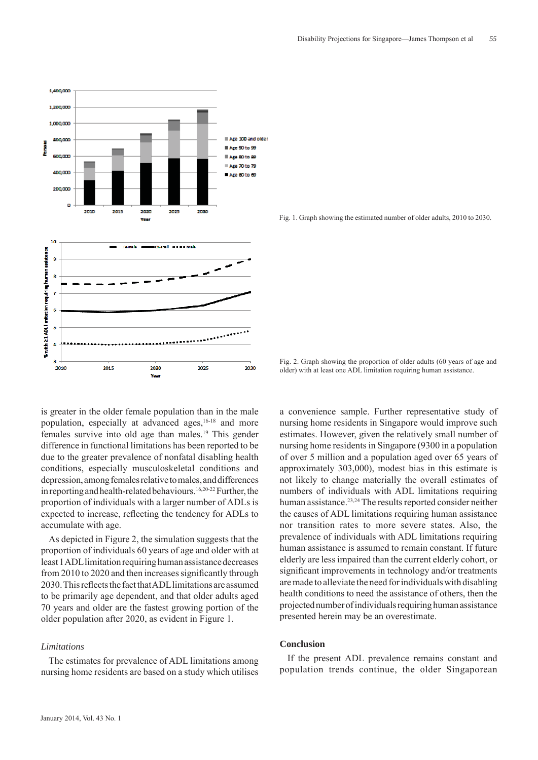

is greater in the older female population than in the male population, especially at advanced ages,<sup>16-18</sup> and more females survive into old age than males.19 This gender difference in functional limitations has been reported to be due to the greater prevalence of nonfatal disabling health conditions, especially musculoskeletal conditions and depression, among females relative to males, and differences in reporting and health-related behaviours.<sup>16,20-22</sup> Further, the proportion of individuals with a larger number of ADLs is expected to increase, reflecting the tendency for ADLs to accumulate with age.

As depicted in Figure 2, the simulation suggests that the proportion of individuals 60 years of age and older with at least 1 ADL limitation requiring human assistance decreases from 2010 to 2020 and then increases significantly through 2030. This reflects the fact that ADL limitations are assumed to be primarily age dependent, and that older adults aged 70 years and older are the fastest growing portion of the older population after 2020, as evident in Figure 1.

### *Limitations*

The estimates for prevalence of ADL limitations among nursing home residents are based on a study which utilises Fig. 1. Graph showing the estimated number of older adults, 2010 to 2030.

Fig. 2. Graph showing the proportion of older adults (60 years of age and older) with at least one ADL limitation requiring human assistance.

a convenience sample. Further representative study of nursing home residents in Singapore would improve such estimates. However, given the relatively small number of nursing home residents in Singapore (9300 in a population of over 5 million and a population aged over 65 years of approximately 303,000), modest bias in this estimate is not likely to change materially the overall estimates of numbers of individuals with ADL limitations requiring human assistance.<sup>23,24</sup> The results reported consider neither the causes of ADL limitations requiring human assistance nor transition rates to more severe states. Also, the prevalence of individuals with ADL limitations requiring human assistance is assumed to remain constant. If future elderly are less impaired than the current elderly cohort, or significant improvements in technology and/or treatments are made to alleviate the need for individuals with disabling health conditions to need the assistance of others, then the projected number of individuals requiring human assistance presented herein may be an overestimate.

#### **Conclusion**

If the present ADL prevalence remains constant and population trends continue, the older Singaporean